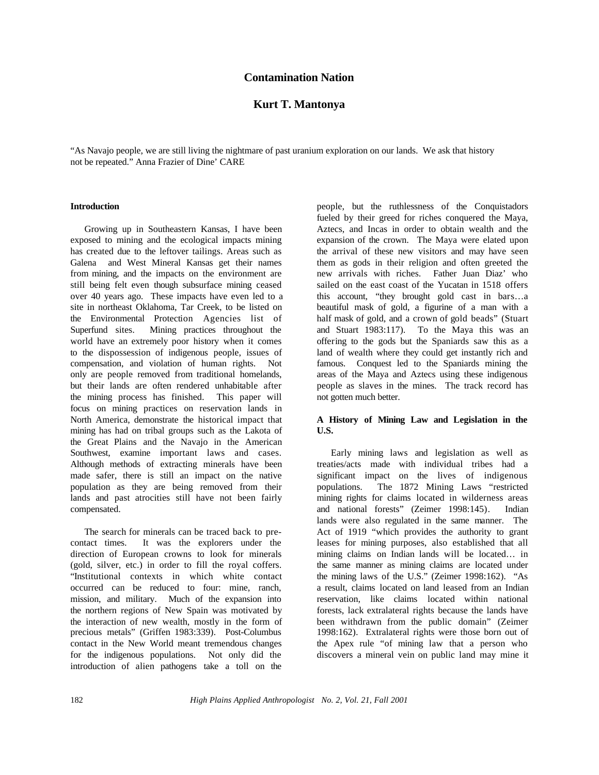## **Contamination Nation**

# **Kurt T. Mantonya**

"As Navajo people, we are still living the nightmare of past uranium exploration on our lands. We ask that history not be repeated." Anna Frazier of Dine' CARE

#### **Introduction**

Growing up in Southeastern Kansas, I have been exposed to mining and the ecological impacts mining has created due to the leftover tailings. Areas such as Galena and West Mineral Kansas get their names from mining, and the impacts on the environment are still being felt even though subsurface mining ceased over 40 years ago. These impacts have even led to a site in northeast Oklahoma, Tar Creek, to be listed on the Environmental Protection Agencies list of Superfund sites. Mining practices throughout the world have an extremely poor history when it comes to the dispossession of indigenous people, issues of compensation, and violation of human rights. Not only are people removed from traditional homelands, but their lands are often rendered unhabitable after the mining process has finished. This paper will focus on mining practices on reservation lands in North America, demonstrate the historical impact that mining has had on tribal groups such as the Lakota of the Great Plains and the Navajo in the American Southwest, examine important laws and cases. Although methods of extracting minerals have been made safer, there is still an impact on the native population as they are being removed from their lands and past atrocities still have not been fairly compensated.

The search for minerals can be traced back to precontact times. It was the explorers under the direction of European crowns to look for minerals (gold, silver, etc.) in order to fill the royal coffers. "Institutional contexts in which white contact occurred can be reduced to four: mine, ranch, mission, and military. Much of the expansion into the northern regions of New Spain was motivated by the interaction of new wealth, mostly in the form of precious metals" (Griffen 1983:339). Post-Columbus contact in the New World meant tremendous changes for the indigenous populations. Not only did the introduction of alien pathogens take a toll on the

people, but the ruthlessness of the Conquistadors fueled by their greed for riches conquered the Maya, Aztecs, and Incas in order to obtain wealth and the expansion of the crown. The Maya were elated upon the arrival of these new visitors and may have seen them as gods in their religion and often greeted the new arrivals with riches. Father Juan Diaz' who sailed on the east coast of the Yucatan in 1518 offers this account, "they brought gold cast in bars…a beautiful mask of gold, a figurine of a man with a half mask of gold, and a crown of gold beads" (Stuart and Stuart 1983:117). To the Maya this was an offering to the gods but the Spaniards saw this as a land of wealth where they could get instantly rich and famous. Conquest led to the Spaniards mining the areas of the Maya and Aztecs using these indigenous people as slaves in the mines. The track record has not gotten much better.

## **A History of Mining Law and Legislation in the U.S.**

Early mining laws and legislation as well as treaties/acts made with individual tribes had a significant impact on the lives of indigenous populations. The 1872 Mining Laws "restricted mining rights for claims located in wilderness areas and national forests" (Zeimer 1998:145). Indian lands were also regulated in the same manner. The Act of 1919 "which provides the authority to grant leases for mining purposes, also established that all mining claims on Indian lands will be located… in the same manner as mining claims are located under the mining laws of the U.S." (Zeimer 1998:162). "As a result, claims located on land leased from an Indian reservation, like claims located within national forests, lack extralateral rights because the lands have been withdrawn from the public domain" (Zeimer 1998:162). Extralateral rights were those born out of the Apex rule "of mining law that a person who discovers a mineral vein on public land may mine it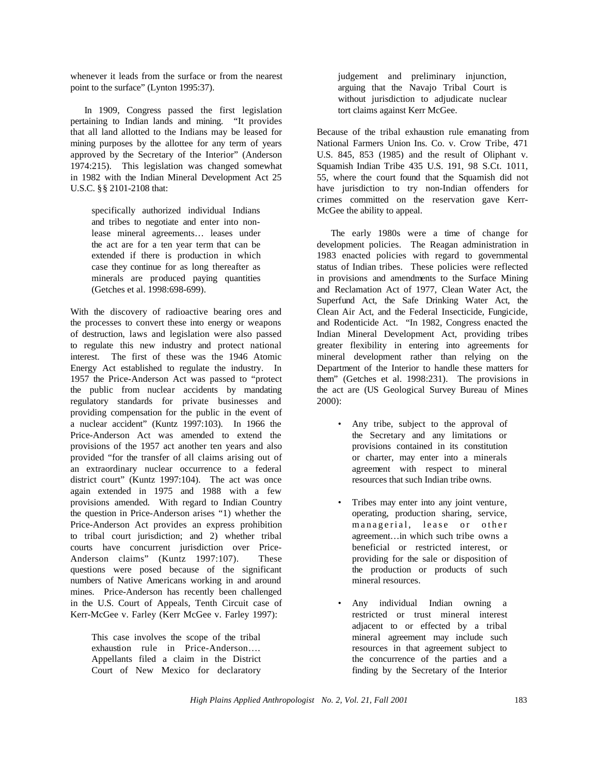whenever it leads from the surface or from the nearest point to the surface" (Lynton 1995:37).

In 1909, Congress passed the first legislation pertaining to Indian lands and mining. "It provides that all land allotted to the Indians may be leased for mining purposes by the allottee for any term of years approved by the Secretary of the Interior" (Anderson 1974:215). This legislation was changed somewhat in 1982 with the Indian Mineral Development Act 25 U.S.C. §§ 2101-2108 that:

specifically authorized individual Indians and tribes to negotiate and enter into nonlease mineral agreements… leases under the act are for a ten year term that can be extended if there is production in which case they continue for as long thereafter as minerals are produced paying quantities (Getches et al. 1998:698-699).

With the discovery of radioactive bearing ores and the processes to convert these into energy or weapons of destruction, laws and legislation were also passed to regulate this new industry and protect national interest. The first of these was the 1946 Atomic Energy Act established to regulate the industry. In 1957 the Price-Anderson Act was passed to "protect the public from nuclear accidents by mandating regulatory standards for private businesses and providing compensation for the public in the event of a nuclear accident" (Kuntz 1997:103). In 1966 the Price-Anderson Act was amended to extend the provisions of the 1957 act another ten years and also provided "for the transfer of all claims arising out of an extraordinary nuclear occurrence to a federal district court" (Kuntz 1997:104). The act was once again extended in 1975 and 1988 with a few provisions amended. With regard to Indian Country the question in Price-Anderson arises "1) whether the Price-Anderson Act provides an express prohibition to tribal court jurisdiction; and 2) whether tribal courts have concurrent jurisdiction over Price-Anderson claims" (Kuntz 1997:107). These questions were posed because of the significant numbers of Native Americans working in and around mines. Price-Anderson has recently been challenged in the U.S. Court of Appeals, Tenth Circuit case of Kerr-McGee v. Farley (Kerr McGee v. Farley 1997):

This case involves the scope of the tribal exhaustion rule in Price-Anderson…. Appellants filed a claim in the District Court of New Mexico for declaratory

judgement and preliminary injunction, arguing that the Navajo Tribal Court is without jurisdiction to adjudicate nuclear tort claims against Kerr McGee.

Because of the tribal exhaustion rule emanating from National Farmers Union Ins. Co. v. Crow Tribe, 471 U.S. 845, 853 (1985) and the result of Oliphant v. Squamish Indian Tribe 435 U.S. 191, 98 S.Ct. 1011, 55, where the court found that the Squamish did not have jurisdiction to try non-Indian offenders for crimes committed on the reservation gave Kerr-McGee the ability to appeal.

The early 1980s were a time of change for development policies. The Reagan administration in 1983 enacted policies with regard to governmental status of Indian tribes. These policies were reflected in provisions and amendments to the Surface Mining and Reclamation Act of 1977, Clean Water Act, the Superfund Act, the Safe Drinking Water Act, the Clean Air Act, and the Federal Insecticide, Fungicide, and Rodenticide Act. "In 1982, Congress enacted the Indian Mineral Development Act, providing tribes greater flexibility in entering into agreements for mineral development rather than relying on the Department of the Interior to handle these matters for them" (Getches et al. 1998:231). The provisions in the act are (US Geological Survey Bureau of Mines 2000):

- Any tribe, subject to the approval of the Secretary and any limitations or provisions contained in its constitution or charter, may enter into a minerals agreement with respect to mineral resources that such Indian tribe owns.
- Tribes may enter into any joint venture, operating, production sharing, service, managerial, lease or other agreement…in which such tribe owns a beneficial or restricted interest, or providing for the sale or disposition of the production or products of such mineral resources.
- Any individual Indian owning a restricted or trust mineral interest adjacent to or effected by a tribal mineral agreement may include such resources in that agreement subject to the concurrence of the parties and a finding by the Secretary of the Interior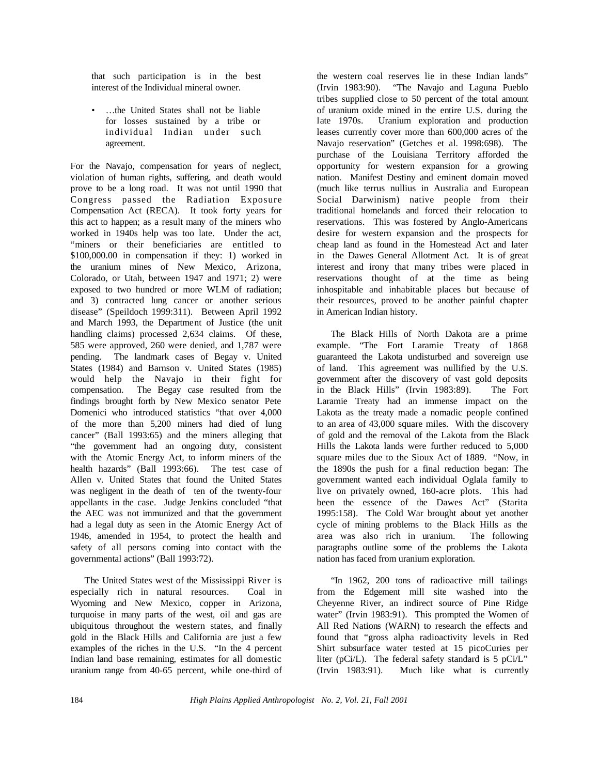that such participation is in the best interest of the Individual mineral owner.

• …the United States shall not be liable for losses sustained by a tribe or individual Indian under such agreement.

For the Navajo, compensation for years of neglect, violation of human rights, suffering, and death would prove to be a long road. It was not until 1990 that Congress passed the Radiation Exposure Compensation Act (RECA). It took forty years for this act to happen; as a result many of the miners who worked in 1940s help was too late. Under the act, "miners or their beneficiaries are entitled to \$100,000.00 in compensation if they: 1) worked in the uranium mines of New Mexico, Arizona, Colorado, or Utah, between 1947 and 1971; 2) were exposed to two hundred or more WLM of radiation; and 3) contracted lung cancer or another serious disease" (Speildoch 1999:311). Between April 1992 and March 1993, the Department of Justice (the unit handling claims) processed 2,634 claims. Of these, 585 were approved, 260 were denied, and 1,787 were pending. The landmark cases of Begay v. United States (1984) and Barnson v. United States (1985) would help the Navajo in their fight for compensation. The Begay case resulted from the findings brought forth by New Mexico senator Pete Domenici who introduced statistics "that over 4,000 of the more than 5,200 miners had died of lung cancer" (Ball 1993:65) and the miners alleging that "the government had an ongoing duty, consistent with the Atomic Energy Act, to inform miners of the health hazards" (Ball 1993:66). The test case of Allen v. United States that found the United States was negligent in the death of ten of the twenty-four appellants in the case. Judge Jenkins concluded "that the AEC was not immunized and that the government had a legal duty as seen in the Atomic Energy Act of 1946, amended in 1954, to protect the health and safety of all persons coming into contact with the governmental actions" (Ball 1993:72).

The United States west of the Mississippi River is especially rich in natural resources. Coal in Wyoming and New Mexico, copper in Arizona, turquoise in many parts of the west, oil and gas are ubiquitous throughout the western states, and finally gold in the Black Hills and California are just a few examples of the riches in the U.S. "In the 4 percent Indian land base remaining, estimates for all domestic uranium range from 40-65 percent, while one-third of

the western coal reserves lie in these Indian lands" (Irvin 1983:90). "The Navajo and Laguna Pueblo tribes supplied close to 50 percent of the total amount of uranium oxide mined in the entire U.S. during the late 1970s. Uranium exploration and production leases currently cover more than 600,000 acres of the Navajo reservation" (Getches et al. 1998:698). The purchase of the Louisiana Territory afforded the opportunity for western expansion for a growing nation. Manifest Destiny and eminent domain moved (much like terrus nullius in Australia and European Social Darwinism) native people from their traditional homelands and forced their relocation to reservations. This was fostered by Anglo-Americans desire for western expansion and the prospects for cheap land as found in the Homestead Act and later in the Dawes General Allotment Act. It is of great interest and irony that many tribes were placed in reservations thought of at the time as being inhospitable and inhabitable places but because of their resources, proved to be another painful chapter in American Indian history.

The Black Hills of North Dakota are a prime example. "The Fort Laramie Treaty of 1868 guaranteed the Lakota undisturbed and sovereign use of land. This agreement was nullified by the U.S. government after the discovery of vast gold deposits in the Black Hills" (Irvin 1983:89). The Fort Laramie Treaty had an immense impact on the Lakota as the treaty made a nomadic people confined to an area of 43,000 square miles. With the discovery of gold and the removal of the Lakota from the Black Hills the Lakota lands were further reduced to 5,000 square miles due to the Sioux Act of 1889. "Now, in the 1890s the push for a final reduction began: The government wanted each individual Oglala family to live on privately owned, 160-acre plots. This had been the essence of the Dawes Act" (Starita 1995:158). The Cold War brought about yet another cycle of mining problems to the Black Hills as the area was also rich in uranium. The following paragraphs outline some of the problems the Lakota nation has faced from uranium exploration.

"In 1962, 200 tons of radioactive mill tailings from the Edgement mill site washed into the Cheyenne River, an indirect source of Pine Ridge water" (Irvin 1983:91). This prompted the Women of All Red Nations (WARN) to research the effects and found that "gross alpha radioactivity levels in Red Shirt subsurface water tested at 15 picoCuries per liter ( $pCi/L$ ). The federal safety standard is 5  $pCi/L$ " (Irvin 1983:91). Much like what is currently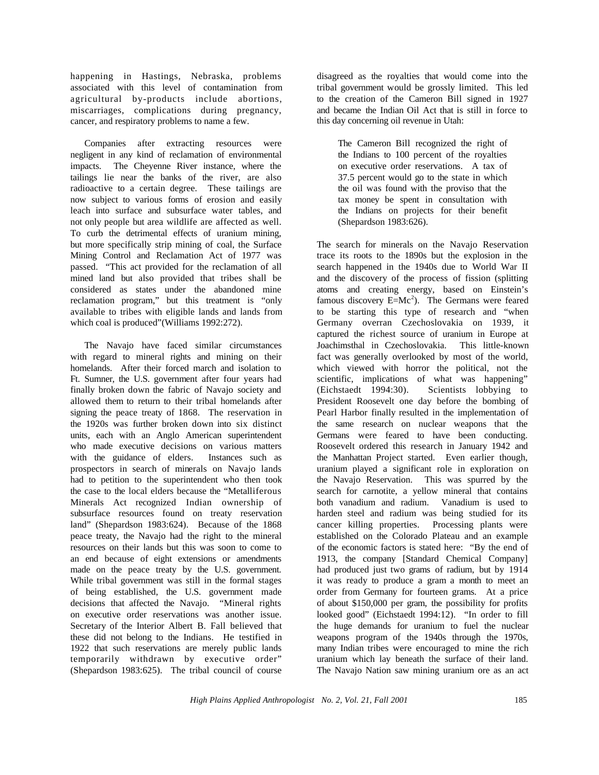happening in Hastings, Nebraska, problems associated with this level of contamination from agricultural by-products include abortions, miscarriages, complications during pregnancy, cancer, and respiratory problems to name a few.

Companies after extracting resources were negligent in any kind of reclamation of environmental impacts. The Cheyenne River instance, where the tailings lie near the banks of the river, are also radioactive to a certain degree. These tailings are now subject to various forms of erosion and easily leach into surface and subsurface water tables, and not only people but area wildlife are affected as well. To curb the detrimental effects of uranium mining, but more specifically strip mining of coal, the Surface Mining Control and Reclamation Act of 1977 was passed. "This act provided for the reclamation of all mined land but also provided that tribes shall be considered as states under the abandoned mine reclamation program," but this treatment is "only available to tribes with eligible lands and lands from which coal is produced"(Williams 1992:272).

The Navajo have faced similar circumstances with regard to mineral rights and mining on their homelands. After their forced march and isolation to Ft. Sumner, the U.S. government after four years had finally broken down the fabric of Navajo society and allowed them to return to their tribal homelands after signing the peace treaty of 1868. The reservation in the 1920s was further broken down into six distinct units, each with an Anglo American superintendent who made executive decisions on various matters with the guidance of elders. Instances such as prospectors in search of minerals on Navajo lands had to petition to the superintendent who then took the case to the local elders because the "Metalliferous Minerals Act recognized Indian ownership of subsurface resources found on treaty reservation land" (Shepardson 1983:624). Because of the 1868 peace treaty, the Navajo had the right to the mineral resources on their lands but this was soon to come to an end because of eight extensions or amendments made on the peace treaty by the U.S. government. While tribal government was still in the formal stages of being established, the U.S. government made decisions that affected the Navajo. "Mineral rights on executive order reservations was another issue. Secretary of the Interior Albert B. Fall believed that these did not belong to the Indians. He testified in 1922 that such reservations are merely public lands temporarily withdrawn by executive order" (Shepardson 1983:625). The tribal council of course

disagreed as the royalties that would come into the tribal government would be grossly limited. This led to the creation of the Cameron Bill signed in 1927 and became the Indian Oil Act that is still in force to this day concerning oil revenue in Utah:

The Cameron Bill recognized the right of the Indians to 100 percent of the royalties on executive order reservations. A tax of 37.5 percent would go to the state in which the oil was found with the proviso that the tax money be spent in consultation with the Indians on projects for their benefit (Shepardson 1983:626).

The search for minerals on the Navajo Reservation trace its roots to the 1890s but the explosion in the search happened in the 1940s due to World War II and the discovery of the process of fission (splitting atoms and creating energy, based on Einstein's famous discovery  $E=Mc^2$ ). The Germans were feared to be starting this type of research and "when Germany overran Czechoslovakia on 1939, it captured the richest source of uranium in Europe at Joachimsthal in Czechoslovakia. This little-known fact was generally overlooked by most of the world, which viewed with horror the political, not the scientific, implications of what was happening" (Eichstaedt 1994:30). Scientists lobbying to President Roosevelt one day before the bombing of Pearl Harbor finally resulted in the implementation of the same research on nuclear weapons that the Germans were feared to have been conducting. Roosevelt ordered this research in January 1942 and the Manhattan Project started. Even earlier though, uranium played a significant role in exploration on the Navajo Reservation. This was spurred by the search for carnotite, a yellow mineral that contains both vanadium and radium. Vanadium is used to harden steel and radium was being studied for its cancer killing properties. Processing plants were established on the Colorado Plateau and an example of the economic factors is stated here: "By the end of 1913, the company [Standard Chemical Company] had produced just two grams of radium, but by 1914 it was ready to produce a gram a month to meet an order from Germany for fourteen grams. At a price of about \$150,000 per gram, the possibility for profits looked good" (Eichstaedt 1994:12). "In order to fill the huge demands for uranium to fuel the nuclear weapons program of the 1940s through the 1970s, many Indian tribes were encouraged to mine the rich uranium which lay beneath the surface of their land. The Navajo Nation saw mining uranium ore as an act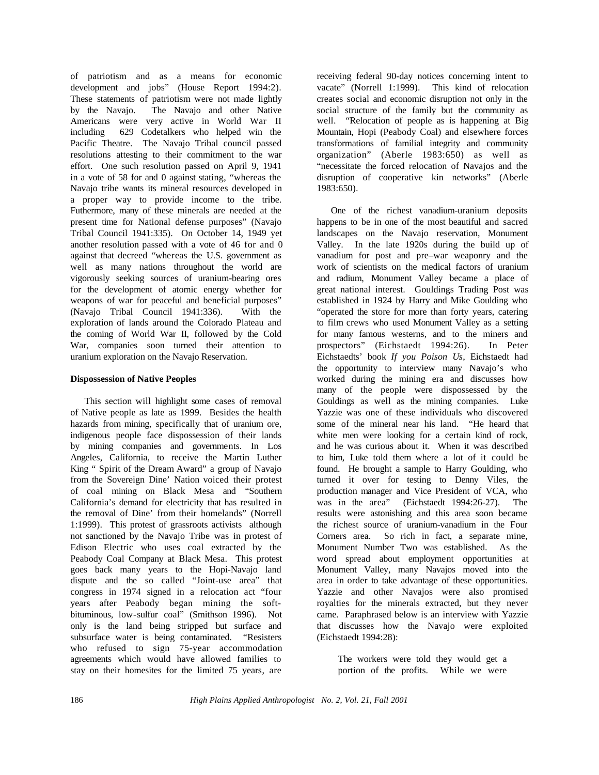of patriotism and as a means for economic development and jobs" (House Report 1994:2). These statements of patriotism were not made lightly<br>by the Navajo. The Navajo and other Native The Navajo and other Native Americans were very active in World War II including 629 Codetalkers who helped win the Pacific Theatre. The Navajo Tribal council passed resolutions attesting to their commitment to the war effort. One such resolution passed on April 9, 1941 in a vote of 58 for and 0 against stating, "whereas the Navajo tribe wants its mineral resources developed in a proper way to provide income to the tribe. Futhermore, many of these minerals are needed at the present time for National defense purposes" (Navajo Tribal Council 1941:335). On October 14, 1949 yet another resolution passed with a vote of 46 for and 0 against that decreed "whereas the U.S. government as well as many nations throughout the world are vigorously seeking sources of uranium-bearing ores for the development of atomic energy whether for weapons of war for peaceful and beneficial purposes" (Navajo Tribal Council 1941:336). With the exploration of lands around the Colorado Plateau and the coming of World War II, followed by the Cold War, companies soon turned their attention to uranium exploration on the Navajo Reservation.

## **Dispossession of Native Peoples**

This section will highlight some cases of removal of Native people as late as 1999. Besides the health hazards from mining, specifically that of uranium ore, indigenous people face dispossession of their lands by mining companies and governments. In Los Angeles, California, to receive the Martin Luther King " Spirit of the Dream Award" a group of Navajo from the Sovereign Dine' Nation voiced their protest of coal mining on Black Mesa and "Southern California's demand for electricity that has resulted in the removal of Dine' from their homelands" (Norrell 1:1999). This protest of grassroots activists although not sanctioned by the Navajo Tribe was in protest of Edison Electric who uses coal extracted by the Peabody Coal Company at Black Mesa. This protest goes back many years to the Hopi-Navajo land dispute and the so called "Joint-use area" that congress in 1974 signed in a relocation act "four years after Peabody began mining the softbituminous, low-sulfur coal" (Smithson 1996). Not only is the land being stripped but surface and subsurface water is being contaminated. "Resisters who refused to sign 75-year accommodation agreements which would have allowed families to stay on their homesites for the limited 75 years, are

receiving federal 90-day notices concerning intent to vacate" (Norrell 1:1999). This kind of relocation creates social and economic disruption not only in the social structure of the family but the community as well. "Relocation of people as is happening at Big Mountain, Hopi (Peabody Coal) and elsewhere forces transformations of familial integrity and community organization" (Aberle 1983:650) as well as "necessitate the forced relocation of Navajos and the disruption of cooperative kin networks" (Aberle 1983:650).

One of the richest vanadium-uranium deposits happens to be in one of the most beautiful and sacred landscapes on the Navajo reservation, Monument Valley. In the late 1920s during the build up of vanadium for post and pre–war weaponry and the work of scientists on the medical factors of uranium and radium, Monument Valley became a place of great national interest. Gouldings Trading Post was established in 1924 by Harry and Mike Goulding who "operated the store for more than forty years, catering to film crews who used Monument Valley as a setting for many famous westerns, and to the miners and prospectors" (Eichstaedt 1994:26). In Peter Eichstaedts' book *If you Poison Us*, Eichstaedt had the opportunity to interview many Navajo's who worked during the mining era and discusses how many of the people were dispossessed by the Gouldings as well as the mining companies. Luke Yazzie was one of these individuals who discovered some of the mineral near his land. "He heard that white men were looking for a certain kind of rock, and he was curious about it. When it was described to him, Luke told them where a lot of it could be found. He brought a sample to Harry Goulding, who turned it over for testing to Denny Viles, the production manager and Vice President of VCA, who was in the area" (Eichstaedt 1994:26-27). The results were astonishing and this area soon became the richest source of uranium-vanadium in the Four Corners area. So rich in fact, a separate mine, Monument Number Two was established. As the word spread about employment opportunities at Monument Valley, many Navajos moved into the area in order to take advantage of these opportunities. Yazzie and other Navajos were also promised royalties for the minerals extracted, but they never came. Paraphrased below is an interview with Yazzie that discusses how the Navajo were exploited (Eichstaedt 1994:28):

The workers were told they would get a portion of the profits. While we were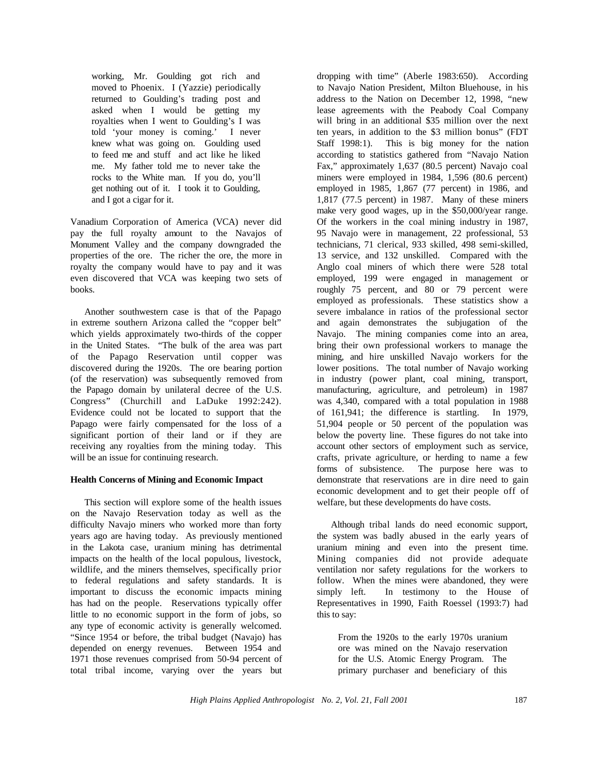working, Mr. Goulding got rich and moved to Phoenix. I (Yazzie) periodically returned to Goulding's trading post and asked when I would be getting my royalties when I went to Goulding's I was told 'your money is coming.' I never knew what was going on. Goulding used to feed me and stuff and act like he liked me. My father told me to never take the rocks to the White man. If you do, you'll get nothing out of it. I took it to Goulding, and I got a cigar for it.

Vanadium Corporation of America (VCA) never did pay the full royalty amount to the Navajos of Monument Valley and the company downgraded the properties of the ore. The richer the ore, the more in royalty the company would have to pay and it was even discovered that VCA was keeping two sets of books.

Another southwestern case is that of the Papago in extreme southern Arizona called the "copper belt" which yields approximately two-thirds of the copper in the United States. "The bulk of the area was part of the Papago Reservation until copper was discovered during the 1920s. The ore bearing portion (of the reservation) was subsequently removed from the Papago domain by unilateral decree of the U.S. Congress" (Churchill and LaDuke 1992:242). Evidence could not be located to support that the Papago were fairly compensated for the loss of a significant portion of their land or if they are receiving any royalties from the mining today. This will be an issue for continuing research.

## **Health Concerns of Mining and Economic Impact**

This section will explore some of the health issues on the Navajo Reservation today as well as the difficulty Navajo miners who worked more than forty years ago are having today. As previously mentioned in the Lakota case, uranium mining has detrimental impacts on the health of the local populous, livestock, wildlife, and the miners themselves, specifically prior to federal regulations and safety standards. It is important to discuss the economic impacts mining has had on the people. Reservations typically offer little to no economic support in the form of jobs, so any type of economic activity is generally welcomed. "Since 1954 or before, the tribal budget (Navajo) has depended on energy revenues. Between 1954 and 1971 those revenues comprised from 50-94 percent of total tribal income, varying over the years but

dropping with time" (Aberle 1983:650). According to Navajo Nation President, Milton Bluehouse, in his address to the Nation on December 12, 1998, "new lease agreements with the Peabody Coal Company will bring in an additional \$35 million over the next ten years, in addition to the \$3 million bonus" (FDT Staff 1998:1). This is big money for the nation according to statistics gathered from "Navajo Nation Fax," approximately 1,637 (80.5 percent) Navajo coal miners were employed in 1984, 1,596 (80.6 percent) employed in 1985, 1,867 (77 percent) in 1986, and 1,817 (77.5 percent) in 1987. Many of these miners make very good wages, up in the \$50,000/year range. Of the workers in the coal mining industry in 1987, 95 Navajo were in management, 22 professional, 53 technicians, 71 clerical, 933 skilled, 498 semi-skilled, 13 service, and 132 unskilled. Compared with the Anglo coal miners of which there were 528 total employed, 199 were engaged in management or roughly 75 percent, and 80 or 79 percent were employed as professionals. These statistics show a severe imbalance in ratios of the professional sector and again demonstrates the subjugation of the Navajo. The mining companies come into an area, bring their own professional workers to manage the mining, and hire unskilled Navajo workers for the lower positions. The total number of Navajo working in industry (power plant, coal mining, transport, manufacturing, agriculture, and petroleum) in 1987 was 4,340, compared with a total population in 1988 of 161,941; the difference is startling. In 1979, 51,904 people or 50 percent of the population was below the poverty line. These figures do not take into account other sectors of employment such as service, crafts, private agriculture, or herding to name a few forms of subsistence. The purpose here was to demonstrate that reservations are in dire need to gain economic development and to get their people off of welfare, but these developments do have costs.

Although tribal lands do need economic support, the system was badly abused in the early years of uranium mining and even into the present time. Mining companies did not provide adequate ventilation nor safety regulations for the workers to follow. When the mines were abandoned, they were simply left. In testimony to the House of Representatives in 1990, Faith Roessel (1993:7) had this to say:

From the 1920s to the early 1970s uranium ore was mined on the Navajo reservation for the U.S. Atomic Energy Program. The primary purchaser and beneficiary of this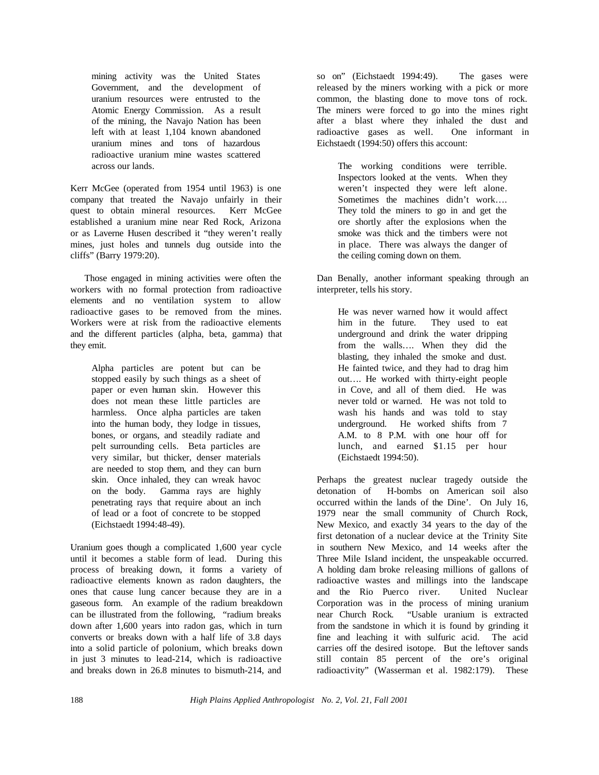mining activity was the United States Government, and the development of uranium resources were entrusted to the Atomic Energy Commission. As a result of the mining, the Navajo Nation has been left with at least 1,104 known abandoned uranium mines and tons of hazardous radioactive uranium mine wastes scattered across our lands.

Kerr McGee (operated from 1954 until 1963) is one company that treated the Navajo unfairly in their quest to obtain mineral resources. Kerr McGee established a uranium mine near Red Rock, Arizona or as Laverne Husen described it "they weren't really mines, just holes and tunnels dug outside into the cliffs" (Barry 1979:20).

Those engaged in mining activities were often the workers with no formal protection from radioactive elements and no ventilation system to allow radioactive gases to be removed from the mines. Workers were at risk from the radioactive elements and the different particles (alpha, beta, gamma) that they emit.

Alpha particles are potent but can be stopped easily by such things as a sheet of paper or even human skin. However this does not mean these little particles are harmless. Once alpha particles are taken into the human body, they lodge in tissues, bones, or organs, and steadily radiate and pelt surrounding cells. Beta particles are very similar, but thicker, denser materials are needed to stop them, and they can burn skin. Once inhaled, they can wreak havoc on the body. Gamma rays are highly penetrating rays that require about an inch of lead or a foot of concrete to be stopped (Eichstaedt 1994:48-49).

Uranium goes though a complicated 1,600 year cycle until it becomes a stable form of lead. During this process of breaking down, it forms a variety of radioactive elements known as radon daughters, the ones that cause lung cancer because they are in a gaseous form. An example of the radium breakdown can be illustrated from the following, "radium breaks down after 1,600 years into radon gas, which in turn converts or breaks down with a half life of 3.8 days into a solid particle of polonium, which breaks down in just 3 minutes to lead-214, which is radioactive and breaks down in 26.8 minutes to bismuth-214, and

so on" (Eichstaedt 1994:49). The gases were released by the miners working with a pick or more common, the blasting done to move tons of rock. The miners were forced to go into the mines right after a blast where they inhaled the dust and radioactive gases as well. One informant in Eichstaedt (1994:50) offers this account:

The working conditions were terrible. Inspectors looked at the vents. When they weren't inspected they were left alone. Sometimes the machines didn't work…. They told the miners to go in and get the ore shortly after the explosions when the smoke was thick and the timbers were not in place. There was always the danger of the ceiling coming down on them.

Dan Benally, another informant speaking through an interpreter, tells his story.

He was never warned how it would affect him in the future. They used to eat underground and drink the water dripping from the walls…. When they did the blasting, they inhaled the smoke and dust. He fainted twice, and they had to drag him out…. He worked with thirty-eight people in Cove, and all of them died. He was never told or warned. He was not told to wash his hands and was told to stay underground. He worked shifts from 7 A.M. to 8 P.M. with one hour off for lunch, and earned \$1.15 per hour (Eichstaedt 1994:50).

Perhaps the greatest nuclear tragedy outside the detonation of H-bombs on American soil also occurred within the lands of the Dine'. On July 16, 1979 near the small community of Church Rock, New Mexico, and exactly 34 years to the day of the first detonation of a nuclear device at the Trinity Site in southern New Mexico, and 14 weeks after the Three Mile Island incident, the unspeakable occurred. A holding dam broke releasing millions of gallons of radioactive wastes and millings into the landscape and the Rio Puerco river. United Nuclear Corporation was in the process of mining uranium near Church Rock. "Usable uranium is extracted from the sandstone in which it is found by grinding it fine and leaching it with sulfuric acid. The acid carries off the desired isotope. But the leftover sands still contain 85 percent of the ore's original radioactivity" (Wasserman et al. 1982:179). These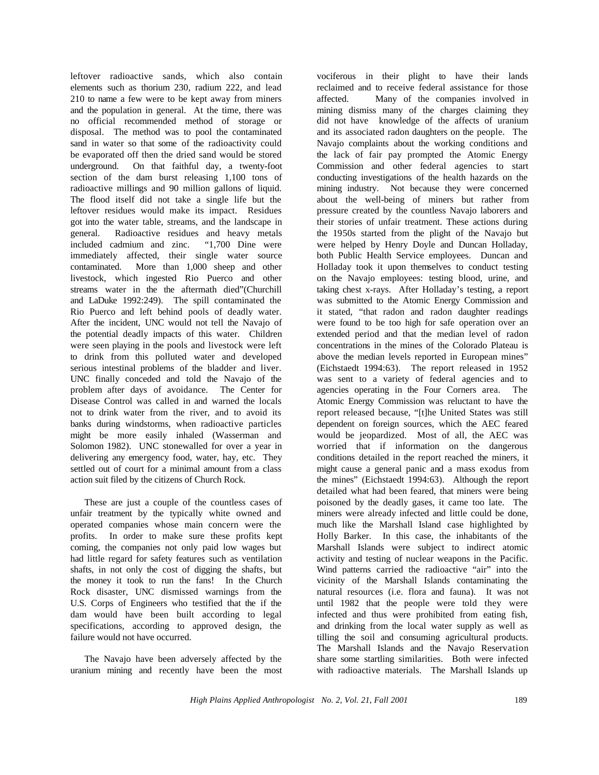leftover radioactive sands, which also contain elements such as thorium 230, radium 222, and lead 210 to name a few were to be kept away from miners and the population in general. At the time, there was no official recommended method of storage or disposal. The method was to pool the contaminated sand in water so that some of the radioactivity could be evaporated off then the dried sand would be stored underground. On that faithful day, a twenty-foot section of the dam burst releasing 1,100 tons of radioactive millings and 90 million gallons of liquid. The flood itself did not take a single life but the leftover residues would make its impact. Residues got into the water table, streams, and the landscape in general. Radioactive residues and heavy metals included cadmium and zinc. "1,700 Dine were immediately affected, their single water source contaminated. More than 1,000 sheep and other livestock, which ingested Rio Puerco and other streams water in the the aftermath died"(Churchill and LaDuke 1992:249). The spill contaminated the Rio Puerco and left behind pools of deadly water. After the incident, UNC would not tell the Navajo of the potential deadly impacts of this water. Children were seen playing in the pools and livestock were left to drink from this polluted water and developed serious intestinal problems of the bladder and liver. UNC finally conceded and told the Navajo of the problem after days of avoidance. The Center for Disease Control was called in and warned the locals not to drink water from the river, and to avoid its banks during windstorms, when radioactive particles might be more easily inhaled (Wasserman and Solomon 1982). UNC stonewalled for over a year in delivering any emergency food, water, hay, etc. They settled out of court for a minimal amount from a class action suit filed by the citizens of Church Rock.

These are just a couple of the countless cases of unfair treatment by the typically white owned and operated companies whose main concern were the profits. In order to make sure these profits kept coming, the companies not only paid low wages but had little regard for safety features such as ventilation shafts, in not only the cost of digging the shafts, but the money it took to run the fans! In the Church Rock disaster, UNC dismissed warnings from the U.S. Corps of Engineers who testified that the if the dam would have been built according to legal specifications, according to approved design, the failure would not have occurred.

The Navajo have been adversely affected by the uranium mining and recently have been the most vociferous in their plight to have their lands reclaimed and to receive federal assistance for those affected. Many of the companies involved in mining dismiss many of the charges claiming they did not have knowledge of the affects of uranium and its associated radon daughters on the people. The Navajo complaints about the working conditions and the lack of fair pay prompted the Atomic Energy Commission and other federal agencies to start conducting investigations of the health hazards on the mining industry. Not because they were concerned about the well-being of miners but rather from pressure created by the countless Navajo laborers and their stories of unfair treatment. These actions during the 1950s started from the plight of the Navajo but were helped by Henry Doyle and Duncan Holladay, both Public Health Service employees. Duncan and Holladay took it upon themselves to conduct testing on the Navajo employees: testing blood, urine, and taking chest x-rays. After Holladay's testing, a report was submitted to the Atomic Energy Commission and it stated, "that radon and radon daughter readings were found to be too high for safe operation over an extended period and that the median level of radon concentrations in the mines of the Colorado Plateau is above the median levels reported in European mines" (Eichstaedt 1994:63). The report released in 1952 was sent to a variety of federal agencies and to agencies operating in the Four Corners area. The Atomic Energy Commission was reluctant to have the report released because, "[t]he United States was still dependent on foreign sources, which the AEC feared would be jeopardized. Most of all, the AEC was worried that if information on the dangerous conditions detailed in the report reached the miners, it might cause a general panic and a mass exodus from the mines" (Eichstaedt 1994:63). Although the report detailed what had been feared, that miners were being poisoned by the deadly gases, it came too late. The miners were already infected and little could be done, much like the Marshall Island case highlighted by Holly Barker. In this case, the inhabitants of the Marshall Islands were subject to indirect atomic activity and testing of nuclear weapons in the Pacific. Wind patterns carried the radioactive "air" into the vicinity of the Marshall Islands contaminating the natural resources (i.e. flora and fauna). It was not until 1982 that the people were told they were infected and thus were prohibited from eating fish, and drinking from the local water supply as well as tilling the soil and consuming agricultural products. The Marshall Islands and the Navajo Reservation share some startling similarities. Both were infected with radioactive materials. The Marshall Islands up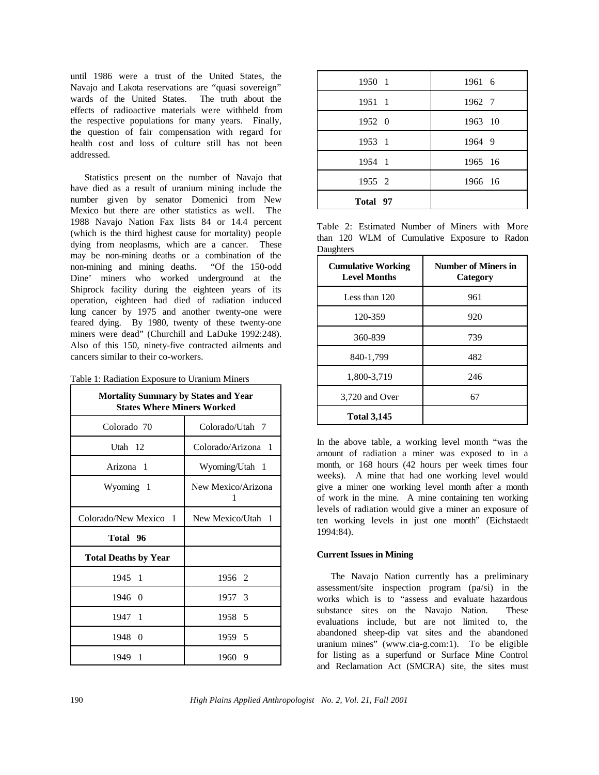until 1986 were a trust of the United States, the Navajo and Lakota reservations are "quasi sovereign" wards of the United States. The truth about the effects of radioactive materials were withheld from the respective populations for many years. Finally, the question of fair compensation with regard for health cost and loss of culture still has not been addressed.

Statistics present on the number of Navajo that have died as a result of uranium mining include the number given by senator Domenici from New Mexico but there are other statistics as well. The 1988 Navajo Nation Fax lists 84 or 14.4 percent (which is the third highest cause for mortality) people dying from neoplasms, which are a cancer. These may be non-mining deaths or a combination of the non-mining and mining deaths. "Of the 150-odd Dine' miners who worked underground at the Shiprock facility during the eighteen years of its operation, eighteen had died of radiation induced lung cancer by 1975 and another twenty-one were feared dying. By 1980, twenty of these twenty-one miners were dead" (Churchill and LaDuke 1992:248). Also of this 150, ninety-five contracted ailments and cancers similar to their co-workers.

|  |  | Table 1: Radiation Exposure to Uranium Miners |  |  |
|--|--|-----------------------------------------------|--|--|
|--|--|-----------------------------------------------|--|--|

| <b>Mortality Summary by States and Year</b><br><b>States Where Miners Worked</b> |                         |  |  |  |
|----------------------------------------------------------------------------------|-------------------------|--|--|--|
| Colorado 70                                                                      | Colorado/Utah 7         |  |  |  |
| Utah 12                                                                          | Colorado/Arizona 1      |  |  |  |
| Arizona 1                                                                        | Wyoming/Utah 1          |  |  |  |
| Wyoming 1                                                                        | New Mexico/Arizona<br>1 |  |  |  |
| Colorado/New Mexico 1                                                            | New Mexico/Utah 1       |  |  |  |
| Total 96                                                                         |                         |  |  |  |
| <b>Total Deaths by Year</b>                                                      |                         |  |  |  |
| 1945 1                                                                           | 1956 2                  |  |  |  |
| 1946 0                                                                           | 1957 3                  |  |  |  |
| 1947 1                                                                           | 1958 5                  |  |  |  |
| 1948 0                                                                           | 1959 5                  |  |  |  |
| 1949 1                                                                           | 1960 9                  |  |  |  |

| 1950 1   | 1961 6  |
|----------|---------|
| 1951 1   | 1962 7  |
| 1952 0   | 1963 10 |
| 1953 1   | 1964 9  |
| 1954 1   | 1965 16 |
| 1955 2   | 1966 16 |
| Total 97 |         |

Table 2: Estimated Number of Miners with More than 120 WLM of Cumulative Exposure to Radon **Daughters** 

| <b>Cumulative Working</b><br><b>Level Months</b> | <b>Number of Miners in</b><br>Category |
|--------------------------------------------------|----------------------------------------|
| Less than 120                                    | 961                                    |
| 120-359                                          | 920                                    |
| 360-839                                          | 739                                    |
| 840-1,799                                        | 482                                    |
| 1,800-3,719                                      | 246                                    |
| 3,720 and Over                                   | 67                                     |
| <b>Total 3,145</b>                               |                                        |

In the above table, a working level month "was the amount of radiation a miner was exposed to in a month, or 168 hours (42 hours per week times four weeks). A mine that had one working level would give a miner one working level month after a month of work in the mine. A mine containing ten working levels of radiation would give a miner an exposure of ten working levels in just one month" (Eichstaedt 1994:84).

## **Current Issues in Mining**

The Navajo Nation currently has a preliminary assessment/site inspection program (pa/si) in the works which is to "assess and evaluate hazardous substance sites on the Navajo Nation. These evaluations include, but are not limited to, the abandoned sheep-dip vat sites and the abandoned uranium mines" (www.cia-g.com:1). To be eligible for listing as a superfund or Surface Mine Control and Reclamation Act (SMCRA) site, the sites must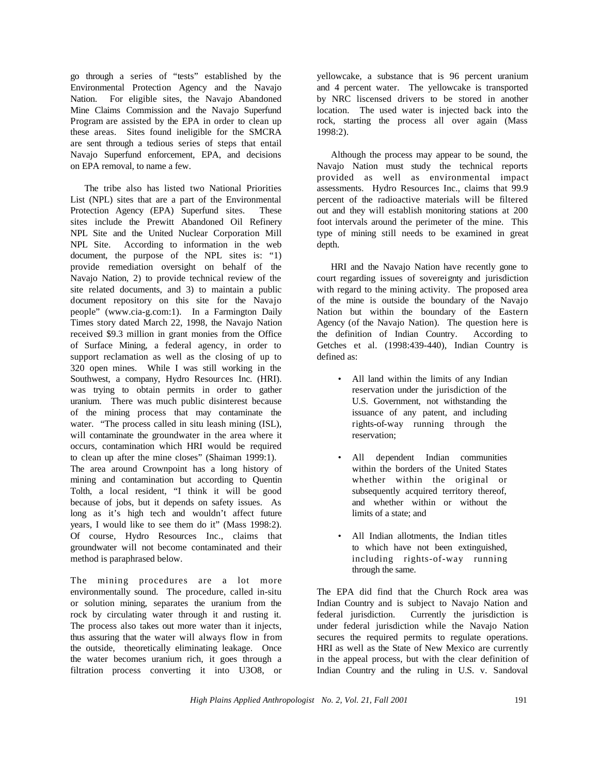go through a series of "tests" established by the Environmental Protection Agency and the Navajo Nation. For eligible sites, the Navajo Abandoned Mine Claims Commission and the Navajo Superfund Program are assisted by the EPA in order to clean up these areas. Sites found ineligible for the SMCRA are sent through a tedious series of steps that entail Navajo Superfund enforcement, EPA, and decisions on EPA removal, to name a few.

The tribe also has listed two National Priorities List (NPL) sites that are a part of the Environmental Protection Agency (EPA) Superfund sites. These sites include the Prewitt Abandoned Oil Refinery NPL Site and the United Nuclear Corporation Mill NPL Site. According to information in the web document, the purpose of the NPL sites is: "1) provide remediation oversight on behalf of the Navajo Nation, 2) to provide technical review of the site related documents, and 3) to maintain a public document repository on this site for the Navajo people" (www.cia-g.com:1). In a Farmington Daily Times story dated March 22, 1998, the Navajo Nation received \$9.3 million in grant monies from the Office of Surface Mining, a federal agency, in order to support reclamation as well as the closing of up to 320 open mines. While I was still working in the Southwest, a company, Hydro Resources Inc. (HRI). was trying to obtain permits in order to gather uranium. There was much public disinterest because of the mining process that may contaminate the water. "The process called in situ leash mining (ISL), will contaminate the groundwater in the area where it occurs, contamination which HRI would be required to clean up after the mine closes" (Shaiman 1999:1). The area around Crownpoint has a long history of mining and contamination but according to Quentin Tolth, a local resident, "I think it will be good because of jobs, but it depends on safety issues. As long as it's high tech and wouldn't affect future years, I would like to see them do it" (Mass 1998:2). Of course, Hydro Resources Inc., claims that groundwater will not become contaminated and their method is paraphrased below.

The mining procedures are a lot more environmentally sound. The procedure, called in-situ or solution mining, separates the uranium from the rock by circulating water through it and rusting it. The process also takes out more water than it injects, thus assuring that the water will always flow in from the outside, theoretically eliminating leakage. Once the water becomes uranium rich, it goes through a filtration process converting it into U3O8, or

yellowcake, a substance that is 96 percent uranium and 4 percent water. The yellowcake is transported by NRC liscensed drivers to be stored in another location. The used water is injected back into the rock, starting the process all over again (Mass 1998:2).

Although the process may appear to be sound, the Navajo Nation must study the technical reports provided as well as environmental impact assessments. Hydro Resources Inc., claims that 99.9 percent of the radioactive materials will be filtered out and they will establish monitoring stations at 200 foot intervals around the perimeter of the mine. This type of mining still needs to be examined in great depth.

HRI and the Navajo Nation have recently gone to court regarding issues of sovereignty and jurisdiction with regard to the mining activity. The proposed area of the mine is outside the boundary of the Navajo Nation but within the boundary of the Eastern Agency (of the Navajo Nation). The question here is the definition of Indian Country. According to Getches et al. (1998:439-440), Indian Country is defined as:

- All land within the limits of any Indian reservation under the jurisdiction of the U.S. Government, not withstanding the issuance of any patent, and including rights-of-way running through the reservation;
- All dependent Indian communities within the borders of the United States whether within the original or subsequently acquired territory thereof, and whether within or without the limits of a state; and
- All Indian allotments, the Indian titles to which have not been extinguished, including rights-of-way running through the same.

The EPA did find that the Church Rock area was Indian Country and is subject to Navajo Nation and federal jurisdiction. Currently the jurisdiction is under federal jurisdiction while the Navajo Nation secures the required permits to regulate operations. HRI as well as the State of New Mexico are currently in the appeal process, but with the clear definition of Indian Country and the ruling in U.S. v. Sandoval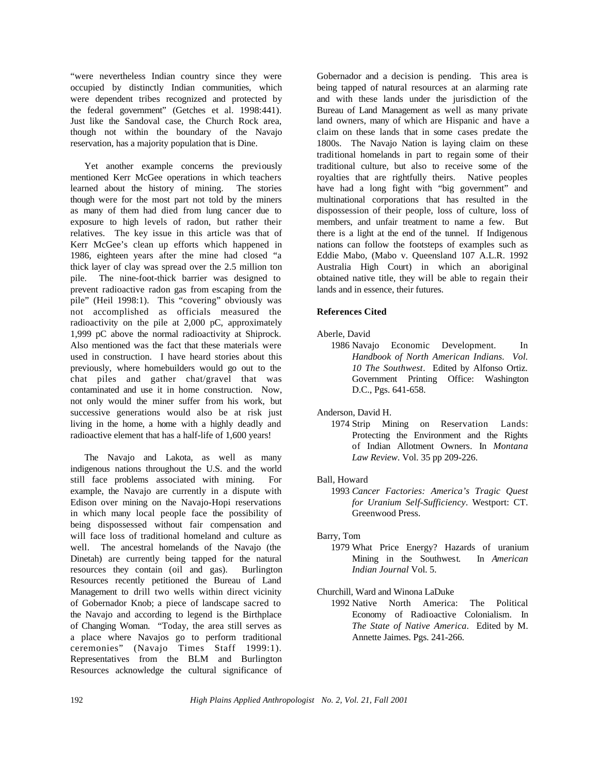"were nevertheless Indian country since they were occupied by distinctly Indian communities, which were dependent tribes recognized and protected by the federal government" (Getches et al. 1998:441). Just like the Sandoval case, the Church Rock area, though not within the boundary of the Navajo reservation, has a majority population that is Dine.

Yet another example concerns the previously mentioned Kerr McGee operations in which teachers learned about the history of mining. The stories though were for the most part not told by the miners as many of them had died from lung cancer due to exposure to high levels of radon, but rather their relatives. The key issue in this article was that of Kerr McGee's clean up efforts which happened in 1986, eighteen years after the mine had closed "a thick layer of clay was spread over the 2.5 million ton pile. The nine-foot-thick barrier was designed to prevent radioactive radon gas from escaping from the pile" (Heil 1998:1). This "covering" obviously was not accomplished as officials measured the radioactivity on the pile at 2,000 pC, approximately 1,999 pC above the normal radioactivity at Shiprock. Also mentioned was the fact that these materials were used in construction. I have heard stories about this previously, where homebuilders would go out to the chat piles and gather chat/gravel that was contaminated and use it in home construction. Now, not only would the miner suffer from his work, but successive generations would also be at risk just living in the home, a home with a highly deadly and radioactive element that has a half-life of 1,600 years!

The Navajo and Lakota, as well as many indigenous nations throughout the U.S. and the world still face problems associated with mining. For example, the Navajo are currently in a dispute with Edison over mining on the Navajo-Hopi reservations in which many local people face the possibility of being dispossessed without fair compensation and will face loss of traditional homeland and culture as well. The ancestral homelands of the Navajo (the Dinetah) are currently being tapped for the natural resources they contain (oil and gas). Burlington Resources recently petitioned the Bureau of Land Management to drill two wells within direct vicinity of Gobernador Knob; a piece of landscape sacred to the Navajo and according to legend is the Birthplace of Changing Woman. "Today, the area still serves as a place where Navajos go to perform traditional ceremonies" (Navajo Times Staff 1999:1). Representatives from the BLM and Burlington Resources acknowledge the cultural significance of

Gobernador and a decision is pending. This area is being tapped of natural resources at an alarming rate and with these lands under the jurisdiction of the Bureau of Land Management as well as many private land owners, many of which are Hispanic and have a claim on these lands that in some cases predate the 1800s. The Navajo Nation is laying claim on these traditional homelands in part to regain some of their traditional culture, but also to receive some of the royalties that are rightfully theirs. Native peoples have had a long fight with "big government" and multinational corporations that has resulted in the dispossession of their people, loss of culture, loss of members, and unfair treatment to name a few. But there is a light at the end of the tunnel. If Indigenous nations can follow the footsteps of examples such as Eddie Mabo, (Mabo v. Queensland 107 A.L.R. 1992 Australia High Court) in which an aboriginal obtained native title, they will be able to regain their lands and in essence, their futures.

## **References Cited**

### Aberle, David

1986 Navajo Economic Development. In *Handbook of North American Indians. Vol. 10 The Southwest*. Edited by Alfonso Ortiz. Government Printing Office: Washington D.C., Pgs. 641-658.

## Anderson, David H.

1974 Strip Mining on Reservation Lands: Protecting the Environment and the Rights of Indian Allotment Owners. In *Montana Law Review*. Vol. 35 pp 209-226.

## Ball, Howard

1993 *Cancer Factories: America's Tragic Quest for Uranium Self-Sufficiency*. Westport: CT. Greenwood Press.

## Barry, Tom

1979 What Price Energy? Hazards of uranium Mining in the Southwest. In *American Indian Journal* Vol. 5.

Churchill, Ward and Winona LaDuke

1992 Native North America: The Political Economy of Radioactive Colonialism. In *The State of Native America*. Edited by M. Annette Jaimes. Pgs. 241-266.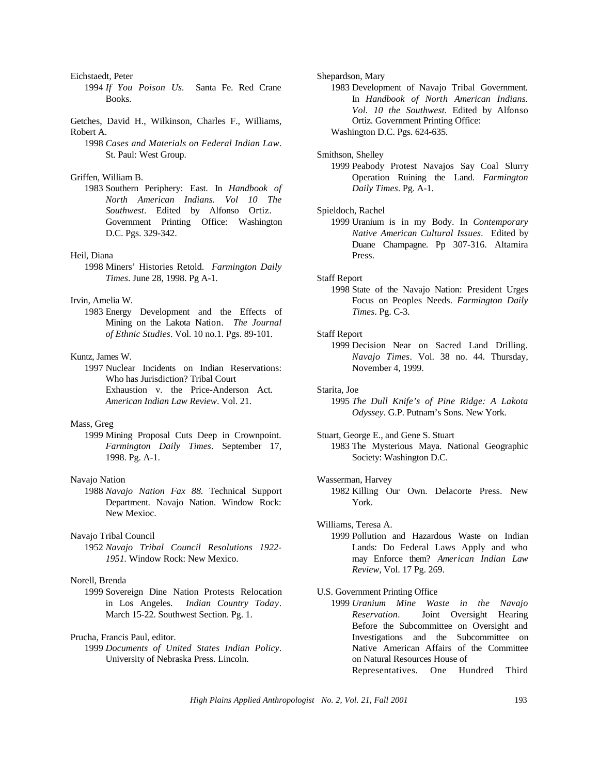Eichstaedt, Peter

- 1994 *If You Poison Us.* Santa Fe. Red Crane Books.
- Getches, David H., Wilkinson, Charles F., Williams, Robert A.
	- 1998 *Cases and Materials on Federal Indian Law*. St. Paul: West Group.

#### Griffen, William B.

1983 Southern Periphery: East. In *Handbook of North American Indians. Vol 10 The Southwest*. Edited by Alfonso Ortiz. Government Printing Office: Washington D.C. Pgs. 329-342.

#### Heil, Diana

1998 Miners' Histories Retold. *Farmington Daily Times*. June 28, 1998. Pg A-1.

### Irvin, Amelia W.

1983 Energy Development and the Effects of Mining on the Lakota Nation. *The Journal of Ethnic Studies*. Vol. 10 no.1. Pgs. 89-101.

### Kuntz, James W.

1997 Nuclear Incidents on Indian Reservations: Who has Jurisdiction? Tribal Court Exhaustion v. the Price-Anderson Act. *American Indian Law Review*. Vol. 21.

### Mass, Greg

1999 Mining Proposal Cuts Deep in Crownpoint. *Farmington Daily Times*. September 17, 1998. Pg. A-1.

## Navajo Nation

1988 *Navajo Nation Fax 88.* Technical Support Department. Navajo Nation. Window Rock: New Mexioc.

### Navajo Tribal Council

1952 *Navajo Tribal Council Resolutions 1922- 1951.* Window Rock: New Mexico.

#### Norell, Brenda

1999 Sovereign Dine Nation Protests Relocation in Los Angeles. *Indian Country Today*. March 15-22. Southwest Section. Pg. 1.

## Prucha, Francis Paul, editor.

1999 *Documents of United States Indian Policy*. University of Nebraska Press. Lincoln.

### Shepardson, Mary

1983 Development of Navajo Tribal Government. In *Handbook of North American Indians. Vol. 10 the Southwest*. Edited by Alfonso Ortiz. Government Printing Office: Washington D.C. Pgs. 624-635.

#### Smithson, Shelley

1999 Peabody Protest Navajos Say Coal Slurry Operation Ruining the Land. *Farmington Daily Times*. Pg. A-1.

## Spieldoch, Rachel

1999 Uranium is in my Body. In *Contemporary Native American Cultural Issues.* Edited by Duane Champagne. Pp 307-316. Altamira Press.

#### Staff Report

1998 State of the Navajo Nation: President Urges Focus on Peoples Needs. *Farmington Daily Times*. Pg. C-3.

#### Staff Report

1999 Decision Near on Sacred Land Drilling. *Navajo Times*. Vol. 38 no. 44. Thursday, November 4, 1999.

#### Starita, Joe

- 1995 *The Dull Knife's of Pine Ridge: A Lakota Odyssey*. G.P. Putnam's Sons. New York.
- Stuart, George E., and Gene S. Stuart 1983 The Mysterious Maya. National Geographic Society: Washington D.C.

#### Wasserman, Harvey

1982 Killing Our Own. Delacorte Press. New York.

### Williams, Teresa A.

1999 Pollution and Hazardous Waste on Indian Lands: Do Federal Laws Apply and who may Enforce them? *American Indian Law Review*, Vol. 17 Pg. 269.

#### U.S. Government Printing Office

1999 *Uranium Mine Waste in the Navajo Reservation*. Joint Oversight Hearing Before the Subcommittee on Oversight and Investigations and the Subcommittee on Native American Affairs of the Committee on Natural Resources House of Representatives. One Hundred Third

*High Plains Applied Anthropologist No. 2, Vol. 21, Fall 2001* 193